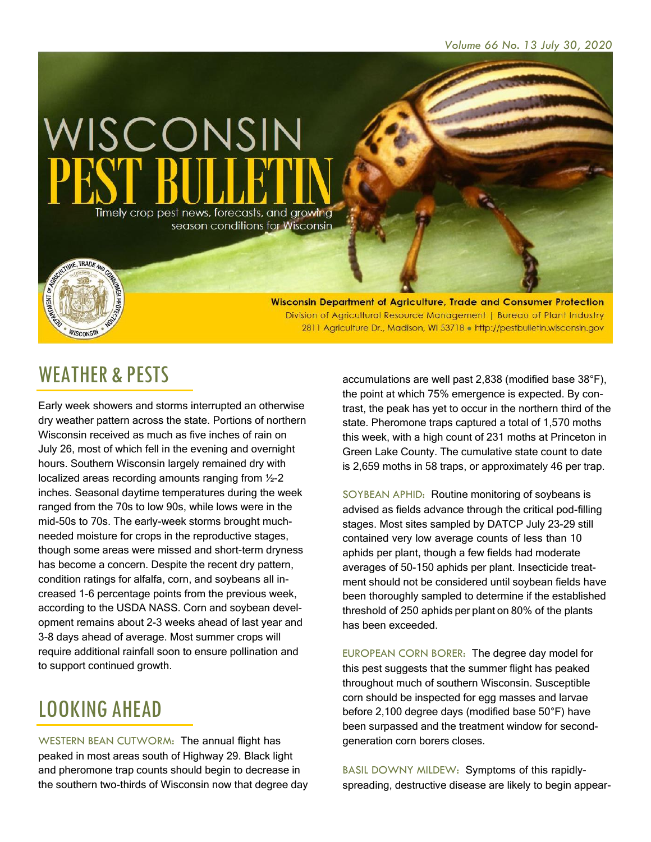

Wisconsin Department of Agriculture, Trade and Consumer Protection Division of Agricultural Resource Management | Bureau of Plant Industry 2811 Agriculture Dr., Madison, WI 53718 . http://pestbulletin.wisconsin.gov

#### WEATHER & PESTS

WISCONSIN

Early week showers and storms interrupted an otherwise dry weather pattern across the state. Portions of northern Wisconsin received as much as five inches of rain on July 26, most of which fell in the evening and overnight hours. Southern Wisconsin largely remained dry with localized areas recording amounts ranging from ½-2 inches. Seasonal daytime temperatures during the week ranged from the 70s to low 90s, while lows were in the mid-50s to 70s. The early-week storms brought muchneeded moisture for crops in the reproductive stages, though some areas were missed and short-term dryness has become a concern. Despite the recent dry pattern, condition ratings for alfalfa, corn, and soybeans all increased 1-6 percentage points from the previous week, according to the USDA NASS. Corn and soybean development remains about 2-3 weeks ahead of last year and 3-8 days ahead of average. Most summer crops will require additional rainfall soon to ensure pollination and to support continued growth.

# LOOKING AHEAD

WESTERN BEAN CUTWORM: The annual flight has peaked in most areas south of Highway 29. Black light and pheromone trap counts should begin to decrease in the southern two-thirds of Wisconsin now that degree day

accumulations are well past 2,838 (modified base 38°F), the point at which 75% emergence is expected. By contrast, the peak has yet to occur in the northern third of the state. Pheromone traps captured a total of 1,570 moths this week, with a high count of 231 moths at Princeton in Green Lake County. The cumulative state count to date is 2,659 moths in 58 traps, or approximately 46 per trap.

SOYBEAN APHID: Routine monitoring of soybeans is advised as fields advance through the critical pod-filling stages. Most sites sampled by DATCP July 23-29 still contained very low average counts of less than 10 aphids per plant, though a few fields had moderate averages of 50-150 aphids per plant. Insecticide treatment should not be considered until soybean fields have been thoroughly sampled to determine if the established threshold of 250 aphids per plant on 80% of the plants has been exceeded.

EUROPEAN CORN BORER: The degree day model for this pest suggests that the summer flight has peaked throughout much of southern Wisconsin. Susceptible corn should be inspected for egg masses and larvae before 2,100 degree days (modified base 50°F) have been surpassed and the treatment window for secondgeneration corn borers closes.

BASIL DOWNY MILDEW: Symptoms of this rapidlyspreading, destructive disease are likely to begin appear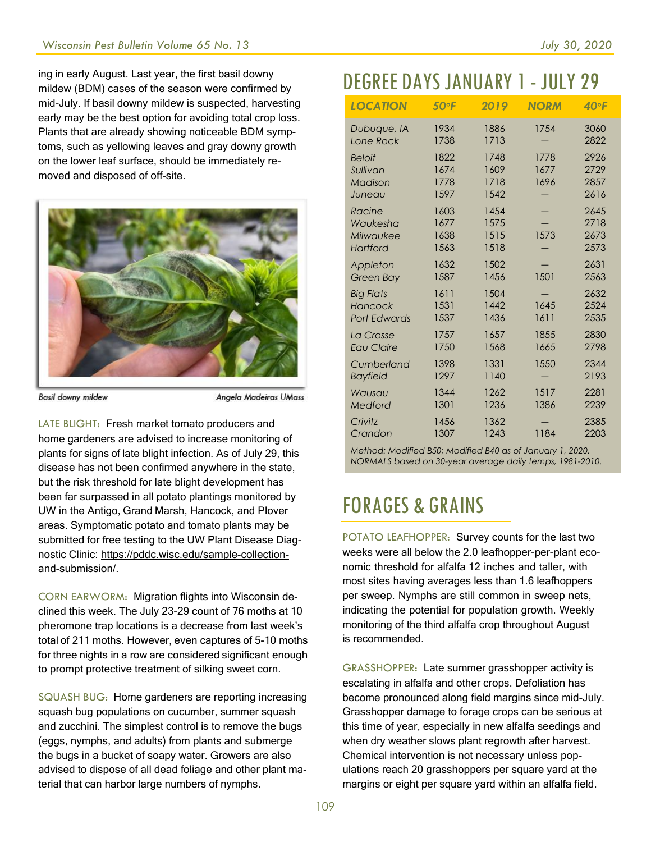ing in early August. Last year, the first basil downy mildew (BDM) cases of the season were confirmed by mid-July. If basil downy mildew is suspected, harvesting early may be the best option for avoiding total crop loss. Plants that are already showing noticeable BDM symptoms, such as yellowing leaves and gray downy growth on the lower leaf surface, should be immediately removed and disposed of off-site.



**Basil downy mildew** 

Angela Madeiras UMass

LATE BLIGHT: Fresh market tomato producers and home gardeners are advised to increase monitoring of plants for signs of late blight infection. As of July 29, this disease has not been confirmed anywhere in the state, but the risk threshold for late blight development has been far surpassed in all potato plantings monitored by UW in the Antigo, Grand Marsh, Hancock, and Plover areas. Symptomatic potato and tomato plants may be submitted for free testing to the UW Plant Disease Diagnostic Clinic: [https://pddc.wisc.edu/sample-collection](https://pddc.wisc.edu/sample-collection-and-submission/)[and-submission/.](https://pddc.wisc.edu/sample-collection-and-submission/)

CORN EARWORM: Migration flights into Wisconsin declined this week. The July 23-29 count of 76 moths at 10 pheromone trap locations is a decrease from last week's total of 211 moths. However, even captures of 5-10 moths for three nights in a row are considered significant enough to prompt protective treatment of silking sweet corn.

SQUASH BUG: Home gardeners are reporting increasing squash bug populations on cucumber, summer squash and zucchini. The simplest control is to remove the bugs (eggs, nymphs, and adults) from plants and submerge the bugs in a bucket of soapy water. Growers are also advised to dispose of all dead foliage and other plant material that can harbor large numbers of nymphs.

# DEGREE DAYSJANUARY 1- JULY 29

| <b>LOCATION</b>                                    | 50°F                         | 2019                         | <b>NORM</b>          | $40^{\circ}$ F               |
|----------------------------------------------------|------------------------------|------------------------------|----------------------|------------------------------|
| Dubuque, IA                                        | 1934                         | 1886                         | 1754                 | 3060                         |
| Lone Rock                                          | 1738                         | 1713                         |                      | 2822                         |
| <b>Beloit</b><br>Sullivan<br>Madison<br>Juneau     | 1822<br>1674<br>1778<br>1597 | 1748<br>1609<br>1718<br>1542 | 1778<br>1677<br>1696 | 2926<br>2729<br>2857<br>2616 |
| Racine                                             | 1603                         | 1454                         | 1573                 | 2645                         |
| Waukesha                                           | 1677                         | 1575                         |                      | 2718                         |
| Milwaukee                                          | 1638                         | 1515                         |                      | 2673                         |
| Hartford                                           | 1563                         | 1518                         |                      | 2573                         |
| Appleton                                           | 1632                         | 1502                         | 1501                 | 2631                         |
| <b>Green Bay</b>                                   | 1587                         | 1456                         |                      | 2563                         |
| <b>Big Flats</b><br>Hancock<br><b>Port Edwards</b> | 1611<br>1531<br>1537         | 1504<br>1442<br>1436         | 1645<br>1611         | 2632<br>2524<br>2535         |
| La Crosse                                          | 1757                         | 1657                         | 1855                 | 2830                         |
| <b>Eau Claire</b>                                  | 1750                         | 1568                         | 1665                 | 2798                         |
| Cumberland                                         | 1398                         | 1331                         | 1550                 | 2344                         |
| <b>Bayfield</b>                                    | 1297                         | 1140                         |                      | 2193                         |
| Wausau                                             | 1344                         | 1262                         | 1517                 | 2281                         |
| Medford                                            | 1301                         | 1236                         | 1386                 | 2239                         |
| Crivitz                                            | 1456                         | 1362                         | 1184                 | 2385                         |
| Crandon                                            | 1307                         | 1243                         |                      | 2203                         |

*Method: Modified B50; Modified B40 as of January 1, 2020. NORMALS based on 30-year average daily temps, 1981-2010.*

## FORAGES & GRAINS

POTATO LEAFHOPPER: Survey counts for the last two weeks were all below the 2.0 leafhopper-per-plant economic threshold for alfalfa 12 inches and taller, with most sites having averages less than 1.6 leafhoppers per sweep. Nymphs are still common in sweep nets, indicating the potential for population growth. Weekly monitoring of the third alfalfa crop throughout August is recommended.

GRASSHOPPER: Late summer grasshopper activity is escalating in alfalfa and other crops. Defoliation has become pronounced along field margins since mid-July. Grasshopper damage to forage crops can be serious at this time of year, especially in new alfalfa seedings and when dry weather slows plant regrowth after harvest. Chemical intervention is not necessary unless populations reach 20 grasshoppers per square yard at the margins or eight per square yard within an alfalfa field.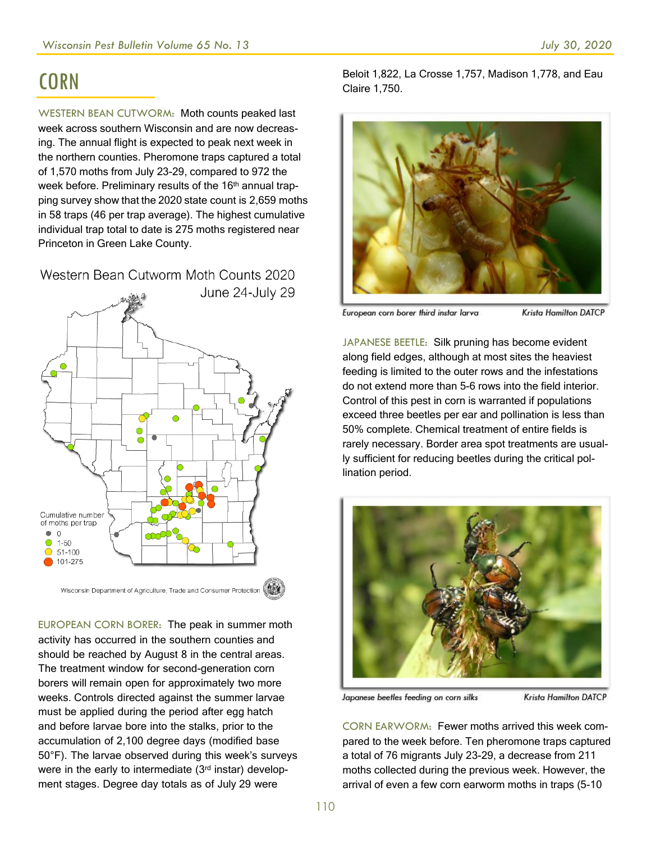#### **CORN**

WESTERN BEAN CUTWORM: Moth counts peaked last week across southern Wisconsin and are now decreasing. The annual flight is expected to peak next week in the northern counties. Pheromone traps captured a total of 1,570 moths from July 23-29, compared to 972 the week before. Preliminary results of the 16<sup>th</sup> annual trapping survey show that the 2020 state count is 2,659 moths in 58 traps (46 per trap average). The highest cumulative individual trap total to date is 275 moths registered near Princeton in Green Lake County.

Western Bean Cutworm Moth Counts 2020



EUROPEAN CORN BORER: The peak in summer moth activity has occurred in the southern counties and should be reached by August 8 in the central areas. The treatment window for second-generation corn borers will remain open for approximately two more weeks. Controls directed against the summer larvae must be applied during the period after egg hatch and before larvae bore into the stalks, prior to the accumulation of 2,100 degree days (modified base 50°F). The larvae observed during this week's surveys were in the early to intermediate (3rd instar) development stages. Degree day totals as of July 29 were

Beloit 1,822, La Crosse 1,757, Madison 1,778, and Eau Claire 1,750.



European corn borer third instar larva **Krista Hamilton DATCP** 

JAPANESE BEETLE: Silk pruning has become evident along field edges, although at most sites the heaviest feeding is limited to the outer rows and the infestations do not extend more than 5-6 rows into the field interior. Control of this pest in corn is warranted if populations exceed three beetles per ear and pollination is less than 50% complete. Chemical treatment of entire fields is rarely necessary. Border area spot treatments are usually sufficient for reducing beetles during the critical pollination period.



Japanese beetles feeding on corn silks

**Krista Hamilton DATCP** 

CORN EARWORM: Fewer moths arrived this week compared to the week before. Ten pheromone traps captured a total of 76 migrants July 23-29, a decrease from 211 moths collected during the previous week. However, the arrival of even a few corn earworm moths in traps (5-10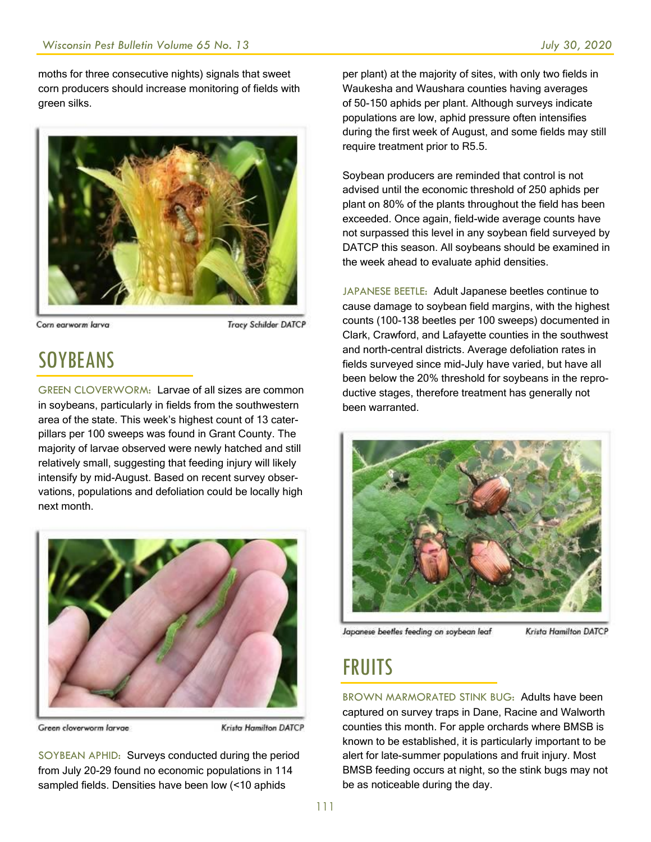moths for three consecutive nights) signals that sweet corn producers should increase monitoring of fields with green silks.



Corn earworm larva

**Tracy Schilder DATCP** 

# SOYBEANS

GREEN CLOVERWORM: Larvae of all sizes are common in soybeans, particularly in fields from the southwestern area of the state. This week's highest count of 13 caterpillars per 100 sweeps was found in Grant County. The majority of larvae observed were newly hatched and still relatively small, suggesting that feeding injury will likely intensify by mid-August. Based on recent survey observations, populations and defoliation could be locally high next month.



Green cloverworm larvae

Krista Hamilton DATCP

SOYBEAN APHID: Surveys conducted during the period from July 20-29 found no economic populations in 114 sampled fields. Densities have been low (<10 aphids

per plant) at the majority of sites, with only two fields in Waukesha and Waushara counties having averages of 50-150 aphids per plant. Although surveys indicate populations are low, aphid pressure often intensifies during the first week of August, and some fields may still require treatment prior to R5.5.

Soybean producers are reminded that control is not advised until the economic threshold of 250 aphids per plant on 80% of the plants throughout the field has been exceeded. Once again, field-wide average counts have not surpassed this level in any soybean field surveyed by DATCP this season. All soybeans should be examined in the week ahead to evaluate aphid densities.

JAPANESE BEETLE: Adult Japanese beetles continue to cause damage to soybean field margins, with the highest counts (100-138 beetles per 100 sweeps) documented in Clark, Crawford, and Lafayette counties in the southwest and north-central districts. Average defoliation rates in fields surveyed since mid-July have varied, but have all been below the 20% threshold for soybeans in the reproductive stages, therefore treatment has generally not been warranted.



Japanese beetles feeding on soybean leaf

Krista Hamilton DATCP

## **FRUITS**

BROWN MARMORATED STINK BUG: Adults have been captured on survey traps in Dane, Racine and Walworth counties this month. For apple orchards where BMSB is known to be established, it is particularly important to be alert for late-summer populations and fruit injury. Most BMSB feeding occurs at night, so the stink bugs may not be as noticeable during the day.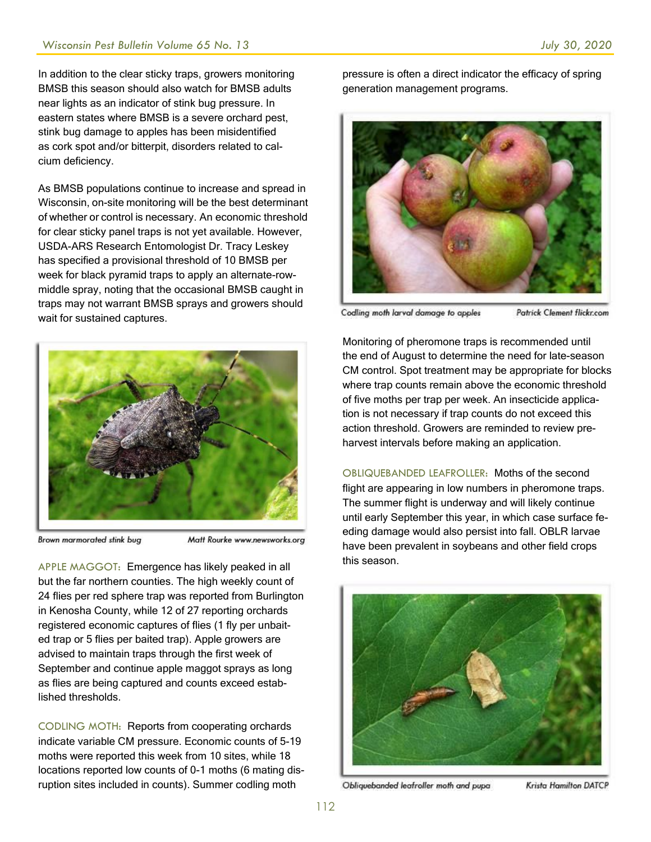In addition to the clear sticky traps, growers monitoring BMSB this season should also watch for BMSB adults near lights as an indicator of stink bug pressure. In eastern states where BMSB is a severe orchard pest, stink bug damage to apples has been misidentified as cork spot and/or bitterpit, disorders related to calcium deficiency.

As BMSB populations continue to increase and spread in Wisconsin, on-site monitoring will be the best determinant of whether or control is necessary. An economic threshold for clear sticky panel traps is not yet available. However, USDA-ARS Research Entomologist Dr. Tracy Leskey has specified a provisional threshold of 10 BMSB per week for black pyramid traps to apply an alternate-rowmiddle spray, noting that the occasional BMSB caught in traps may not warrant BMSB sprays and growers should wait for sustained captures.



Brown marmorated stink bug

Matt Rourke www.newsworks.org

APPLE MAGGOT: Emergence has likely peaked in all but the far northern counties. The high weekly count of 24 flies per red sphere trap was reported from Burlington in Kenosha County, while 12 of 27 reporting orchards registered economic captures of flies (1 fly per unbaited trap or 5 flies per baited trap). Apple growers are advised to maintain traps through the first week of September and continue apple maggot sprays as long as flies are being captured and counts exceed established thresholds.

CODLING MOTH: Reports from cooperating orchards indicate variable CM pressure. Economic counts of 5-19 moths were reported this week from 10 sites, while 18 locations reported low counts of 0-1 moths (6 mating disruption sites included in counts). Summer codling moth

pressure is often a direct indicator the efficacy of spring generation management programs.



Codling moth larval damage to apples Patrick Clement flickr.com

Monitoring of pheromone traps is recommended until the end of August to determine the need for late-season CM control. Spot treatment may be appropriate for blocks where trap counts remain above the economic threshold of five moths per trap per week. An insecticide application is not necessary if trap counts do not exceed this action threshold. Growers are reminded to review preharvest intervals before making an application.

OBLIQUEBANDED LEAFROLLER: Moths of the second flight are appearing in low numbers in pheromone traps. The summer flight is underway and will likely continue until early September this year, in which case surface feeding damage would also persist into fall. OBLR larvae have been prevalent in soybeans and other field crops this season.



Obliquebanded leafroller moth and pupa

Krista Hamilton DATCP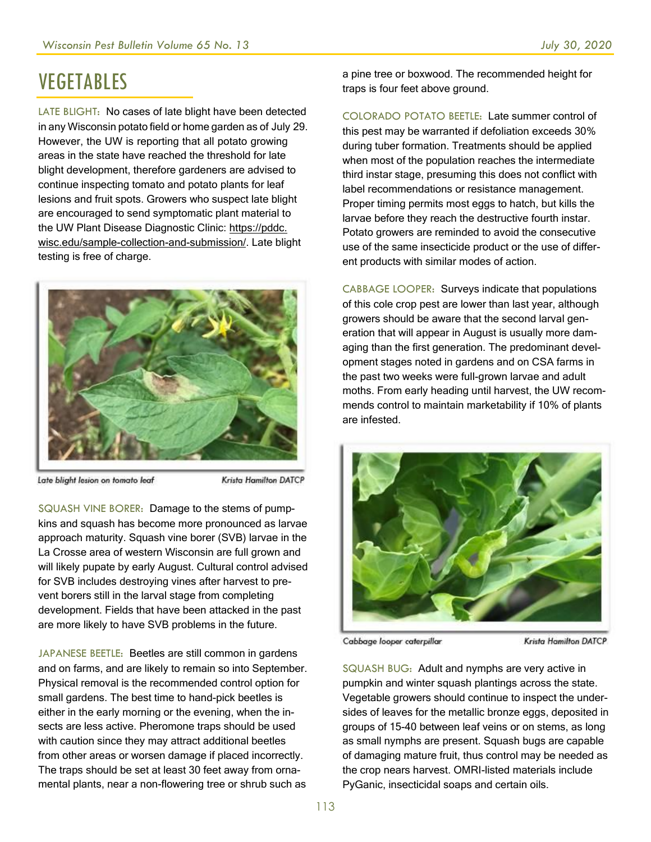# VEGETABLES

LATE BLIGHT: No cases of late blight have been detected in any Wisconsin potato field or home garden as of July 29. However, the UW is reporting that all potato growing areas in the state have reached the threshold for late blight development, therefore gardeners are advised to continue inspecting tomato and potato plants for leaf lesions and fruit spots. Growers who suspect late blight are encouraged to send symptomatic plant material to the UW Plant Disease Diagnostic Clinic: https://pddc. wisc.edu/sample-collection-and-submission/. Late blight testing is free of charge.



Late blight lesion on tomato leaf

Krista Hamilton DATCP

SQUASH VINE BORER: Damage to the stems of pumpkins and squash has become more pronounced as larvae approach maturity. Squash vine borer (SVB) larvae in the La Crosse area of western Wisconsin are full grown and will likely pupate by early August. Cultural control advised for SVB includes destroying vines after harvest to prevent borers still in the larval stage from completing development. Fields that have been attacked in the past are more likely to have SVB problems in the future.

JAPANESE BEETLE: Beetles are still common in gardens and on farms, and are likely to remain so into September. Physical removal is the recommended control option for small gardens. The best time to hand-pick beetles is either in the early morning or the evening, when the insects are less active. Pheromone traps should be used with caution since they may attract additional beetles from other areas or worsen damage if placed incorrectly. The traps should be set at least 30 feet away from ornamental plants, near a non-flowering tree or shrub such as

a pine tree or boxwood. The recommended height for traps is four feet above ground.

COLORADO POTATO BEETLE: Late summer control of this pest may be warranted if defoliation exceeds 30% during tuber formation. Treatments should be applied when most of the population reaches the intermediate third instar stage, presuming this does not conflict with label recommendations or resistance management. Proper timing permits most eggs to hatch, but kills the larvae before they reach the destructive fourth instar. Potato growers are reminded to avoid the consecutive use of the same insecticide product or the use of different products with similar modes of action.

CABBAGE LOOPER: Surveys indicate that populations of this cole crop pest are lower than last year, although growers should be aware that the second larval generation that will appear in August is usually more damaging than the first generation. The predominant development stages noted in gardens and on CSA farms in the past two weeks were full-grown larvae and adult moths. From early heading until harvest, the UW recommends control to maintain marketability if 10% of plants are infested.



Cabbage looper caterpillar

Krista Hamilton DATCP

SQUASH BUG: Adult and nymphs are very active in pumpkin and winter squash plantings across the state. Vegetable growers should continue to inspect the undersides of leaves for the metallic bronze eggs, deposited in groups of 15-40 between leaf veins or on stems, as long as small nymphs are present. Squash bugs are capable of damaging mature fruit, thus control may be needed as the crop nears harvest. OMRI-listed materials include PyGanic, insecticidal soaps and certain oils.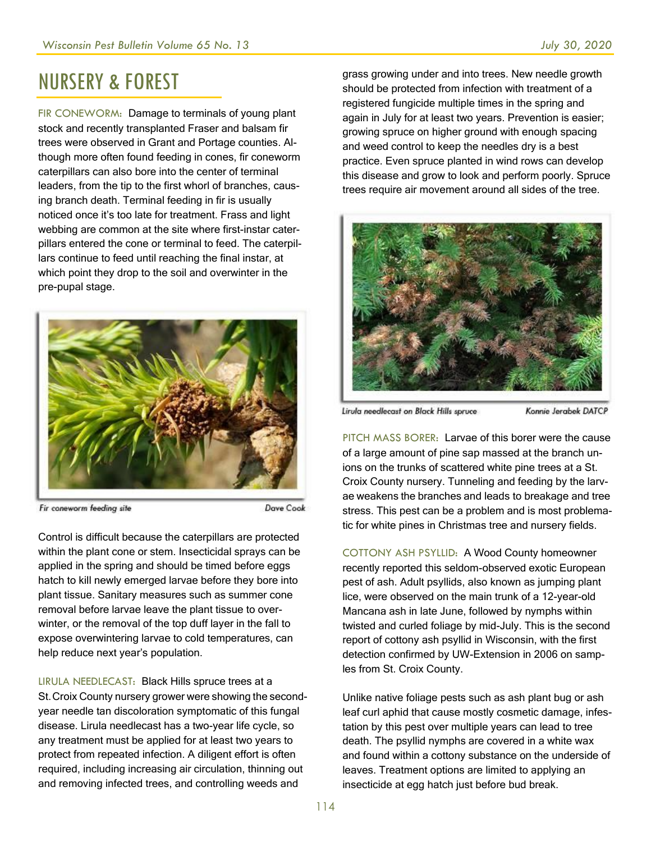#### NURSERY & FOREST

FIR CONEWORM: Damage to terminals of young plant stock and recently transplanted Fraser and balsam fir trees were observed in Grant and Portage counties. Although more often found feeding in cones, fir coneworm caterpillars can also bore into the center of terminal leaders, from the tip to the first whorl of branches, causing branch death. Terminal feeding in fir is usually noticed once it's too late for treatment. Frass and light webbing are common at the site where first-instar caterpillars entered the cone or terminal to feed. The caterpillars continue to feed until reaching the final instar, at which point they drop to the soil and overwinter in the pre-pupal stage.



Fir coneworm feeding site

Control is difficult because the caterpillars are protected within the plant cone or stem. Insecticidal sprays can be applied in the spring and should be timed before eggs hatch to kill newly emerged larvae before they bore into plant tissue. Sanitary measures such as summer cone removal before larvae leave the plant tissue to overwinter, or the removal of the top duff layer in the fall to expose overwintering larvae to cold temperatures, can help reduce next year's population.

LIRULA NEEDLECAST: Black Hills spruce trees at a St.Croix County nursery grower were showing the secondyear needle tan discoloration symptomatic of this fungal disease. Lirula needlecast has a two-year life cycle, so any treatment must be applied for at least two years to protect from repeated infection. A diligent effort is often required, including increasing air circulation, thinning out and removing infected trees, and controlling weeds and

grass growing under and into trees. New needle growth should be protected from infection with treatment of a registered fungicide multiple times in the spring and again in July for at least two years. Prevention is easier; growing spruce on higher ground with enough spacing and weed control to keep the needles dry is a best practice. Even spruce planted in wind rows can develop this disease and grow to look and perform poorly. Spruce trees require air movement around all sides of the tree.



Lirula needlecast on Black Hills spruce

Konnie Jerabek DATCP

PITCH MASS BORER: Larvae of this borer were the cause of a large amount of pine sap massed at the branch unions on the trunks of scattered white pine trees at a St. Croix County nursery. Tunneling and feeding by the larvae weakens the branches and leads to breakage and tree stress. This pest can be a problem and is most problematic for white pines in Christmas tree and nursery fields.

COTTONY ASH PSYLLID: A Wood County homeowner recently reported this seldom-observed exotic European pest of ash. Adult psyllids, also known as jumping plant lice, were observed on the main trunk of a 12-year-old Mancana ash in late June, followed by nymphs within twisted and curled foliage by mid-July. This is the second report of cottony ash psyllid in Wisconsin, with the first detection confirmed by UW-Extension in 2006 on samples from St. Croix County.

Unlike native foliage pests such as ash plant bug or ash leaf curl aphid that cause mostly cosmetic damage, infestation by this pest over multiple years can lead to tree death. The psyllid nymphs are covered in a white wax and found within a cottony substance on the underside of leaves. Treatment options are limited to applying an insecticide at egg hatch just before bud break.

Dave Cook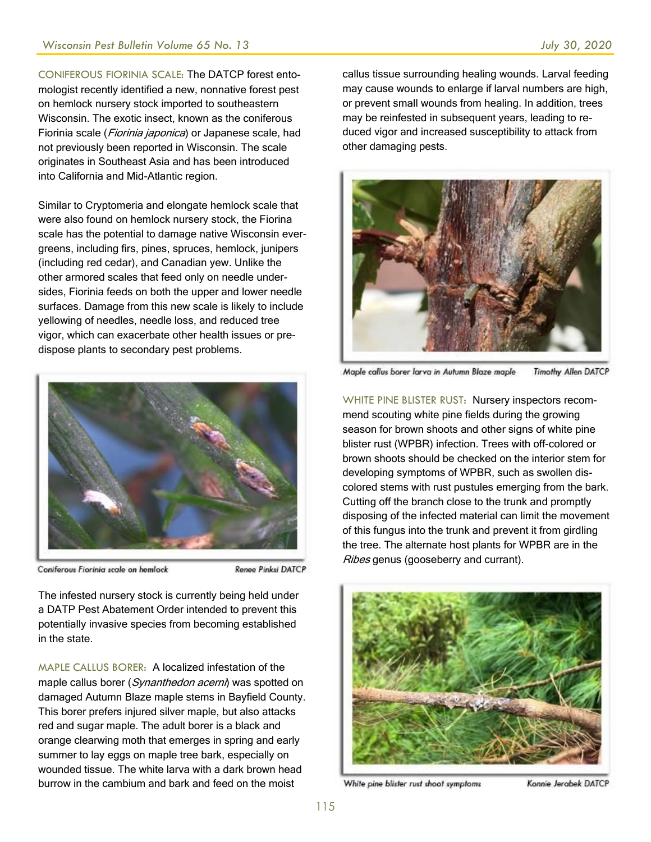CONIFEROUS FIORINIA SCALE: The DATCP forest entomologist recently identified a new, nonnative forest pest on hemlock nursery stock imported to southeastern Wisconsin. The exotic insect, known as the coniferous Fiorinia scale (*Fiorinia japonica*) or Japanese scale, had not previously been reported in Wisconsin. The scale originates in Southeast Asia and has been introduced into California and Mid-Atlantic region.

Similar to Cryptomeria and elongate hemlock scale that were also found on hemlock nursery stock, the Fiorina scale has the potential to damage native Wisconsin evergreens, including firs, pines, spruces, hemlock, junipers (including red cedar), and Canadian yew. Unlike the other armored scales that feed only on needle undersides, Fiorinia feeds on both the upper and lower needle surfaces. Damage from this new scale is likely to include yellowing of needles, needle loss, and reduced tree vigor, which can exacerbate other health issues or predispose plants to secondary pest problems.



Coniferous Fiorinia scale on hemlock

Renee Pinksi DATCP

The infested nursery stock is currently being held under a DATP Pest Abatement Order intended to prevent this potentially invasive species from becoming established in the state.

MAPLE CALLUS BORER: A localized infestation of the maple callus borer (Synanthedon acerni) was spotted on damaged Autumn Blaze maple stems in Bayfield County. This borer prefers injured silver maple, but also attacks red and sugar maple. The adult borer is a black and orange clearwing moth that emerges in spring and early summer to lay eggs on maple tree bark, especially on wounded tissue. The white larva with a dark brown head burrow in the cambium and bark and feed on the moist

callus tissue surrounding healing wounds. Larval feeding may cause wounds to enlarge if larval numbers are high, or prevent small wounds from healing. In addition, trees may be reinfested in subsequent years, leading to reduced vigor and increased susceptibility to attack from other damaging pests.



Maple callus borer larva in Autumn Blaze maple **Timothy Allen DATCP** 

WHITE PINE BLISTER RUST: Nursery inspectors recommend scouting white pine fields during the growing season for brown shoots and other signs of white pine blister rust (WPBR) infection. Trees with off-colored or brown shoots should be checked on the interior stem for developing symptoms of WPBR, such as swollen discolored stems with rust pustules emerging from the bark. Cutting off the branch close to the trunk and promptly disposing of the infected material can limit the movement of this fungus into the trunk and prevent it from girdling the tree. The alternate host plants for WPBR are in the Ribes genus (gooseberry and currant).



White pine blister rust shoot symptoms

Konnie Jerabek DATCP